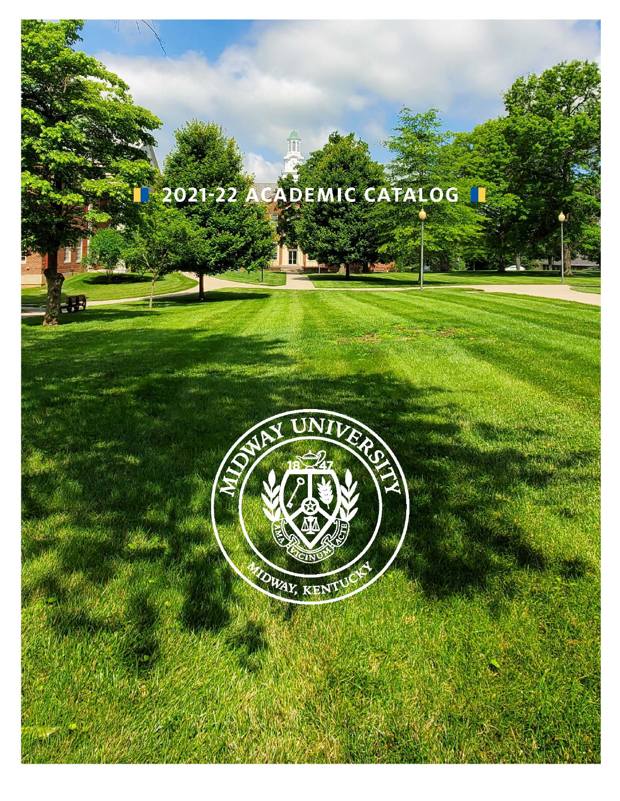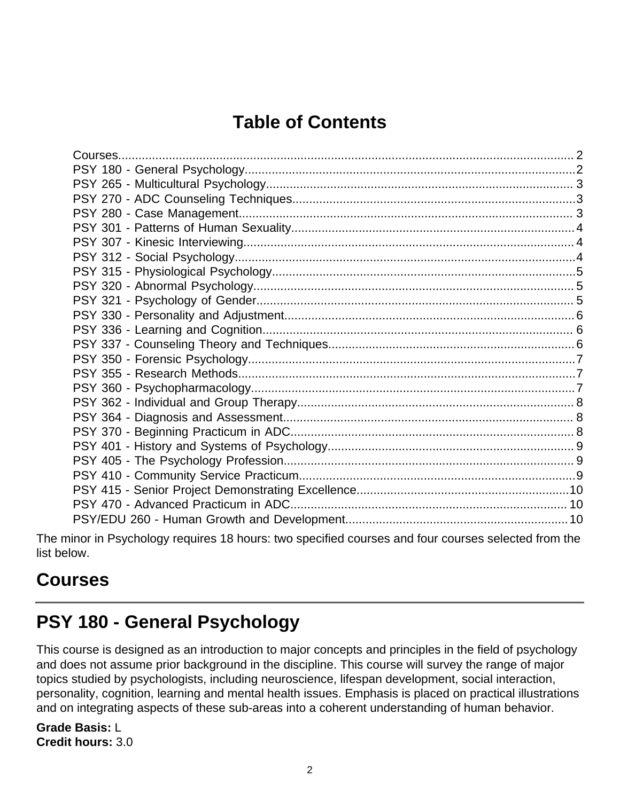# **Table of Contents**

The minor in Psychology requires 18 hours: two specified courses and four courses selected from the list below.

### <span id="page-1-0"></span>**Courses**

### <span id="page-1-1"></span>**PSY 180 - General Psychology**

This course is designed as an introduction to major concepts and principles in the field of psychology and does not assume prior background in the discipline. This course will survey the range of major topics studied by psychologists, including neuroscience, lifespan development, social interaction, personality, cognition, learning and mental health issues. Emphasis is placed on practical illustrations and on integrating aspects of these sub-areas into a coherent understanding of human behavior.

**Grade Basis:** L **Credit hours:** 3.0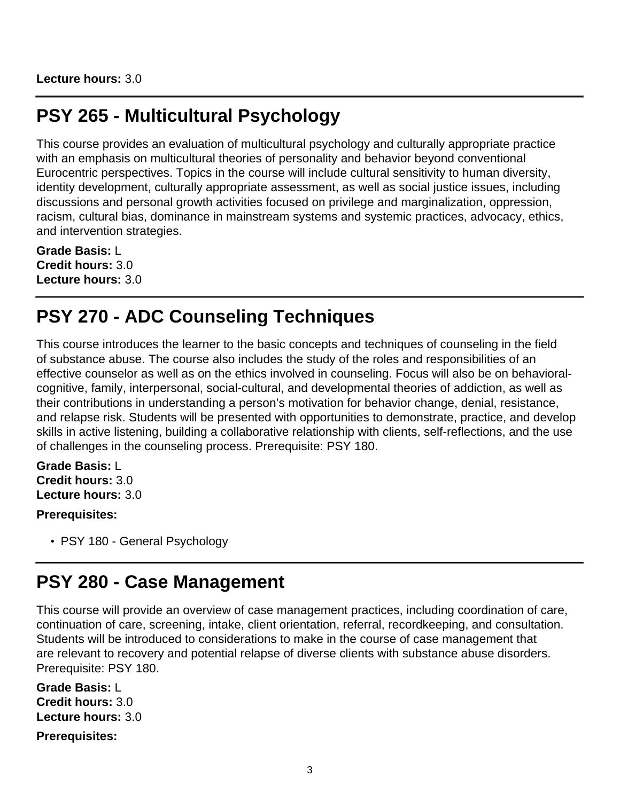**Lecture hours:** 3.0

### <span id="page-2-0"></span>**PSY 265 - Multicultural Psychology**

This course provides an evaluation of multicultural psychology and culturally appropriate practice with an emphasis on multicultural theories of personality and behavior beyond conventional Eurocentric perspectives. Topics in the course will include cultural sensitivity to human diversity, identity development, culturally appropriate assessment, as well as social justice issues, including discussions and personal growth activities focused on privilege and marginalization, oppression, racism, cultural bias, dominance in mainstream systems and systemic practices, advocacy, ethics, and intervention strategies.

**Grade Basis:** L **Credit hours:** 3.0 **Lecture hours:** 3.0

### <span id="page-2-1"></span>**PSY 270 - ADC Counseling Techniques**

This course introduces the learner to the basic concepts and techniques of counseling in the field of substance abuse. The course also includes the study of the roles and responsibilities of an effective counselor as well as on the ethics involved in counseling. Focus will also be on behavioralcognitive, family, interpersonal, social-cultural, and developmental theories of addiction, as well as their contributions in understanding a person's motivation for behavior change, denial, resistance, and relapse risk. Students will be presented with opportunities to demonstrate, practice, and develop skills in active listening, building a collaborative relationship with clients, self-reflections, and the use of challenges in the counseling process. Prerequisite: PSY 180.

**Grade Basis:** L **Credit hours:** 3.0 **Lecture hours:** 3.0

**Prerequisites:**

• PSY 180 - General Psychology

### <span id="page-2-2"></span>**PSY 280 - Case Management**

This course will provide an overview of case management practices, including coordination of care, continuation of care, screening, intake, client orientation, referral, recordkeeping, and consultation. Students will be introduced to considerations to make in the course of case management that are relevant to recovery and potential relapse of diverse clients with substance abuse disorders. Prerequisite: PSY 180.

**Grade Basis:** L **Credit hours:** 3.0 **Lecture hours:** 3.0

**Prerequisites:**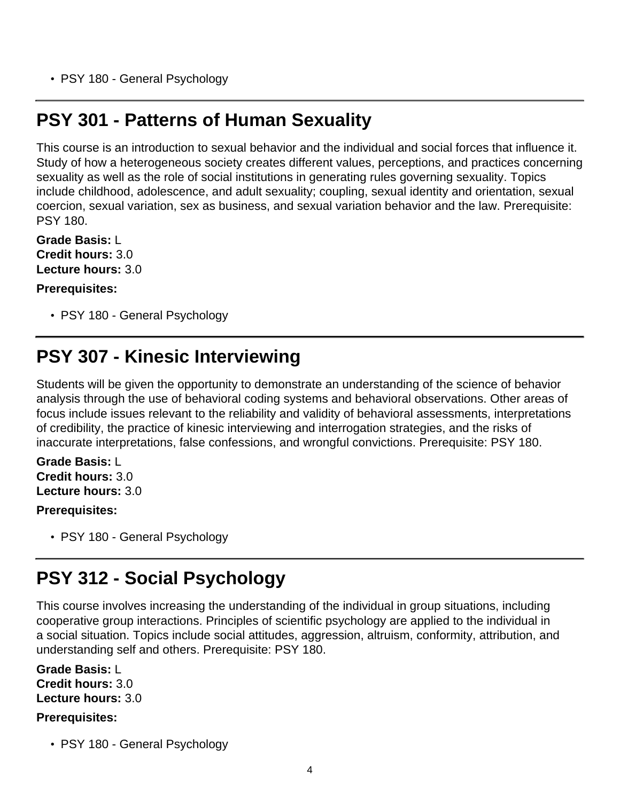• PSY 180 - General Psychology

### <span id="page-3-0"></span>**PSY 301 - Patterns of Human Sexuality**

This course is an introduction to sexual behavior and the individual and social forces that influence it. Study of how a heterogeneous society creates different values, perceptions, and practices concerning sexuality as well as the role of social institutions in generating rules governing sexuality. Topics include childhood, adolescence, and adult sexuality; coupling, sexual identity and orientation, sexual coercion, sexual variation, sex as business, and sexual variation behavior and the law. Prerequisite: PSY 180.

**Grade Basis:** L **Credit hours:** 3.0 **Lecture hours:** 3.0

**Prerequisites:**

• PSY 180 - General Psychology

### <span id="page-3-1"></span>**PSY 307 - Kinesic Interviewing**

Students will be given the opportunity to demonstrate an understanding of the science of behavior analysis through the use of behavioral coding systems and behavioral observations. Other areas of focus include issues relevant to the reliability and validity of behavioral assessments, interpretations of credibility, the practice of kinesic interviewing and interrogation strategies, and the risks of inaccurate interpretations, false confessions, and wrongful convictions. Prerequisite: PSY 180.

**Grade Basis:** L **Credit hours:** 3.0 **Lecture hours:** 3.0

#### **Prerequisites:**

• PSY 180 - General Psychology

### <span id="page-3-2"></span>**PSY 312 - Social Psychology**

This course involves increasing the understanding of the individual in group situations, including cooperative group interactions. Principles of scientific psychology are applied to the individual in a social situation. Topics include social attitudes, aggression, altruism, conformity, attribution, and understanding self and others. Prerequisite: PSY 180.

**Grade Basis:** L **Credit hours:** 3.0 **Lecture hours:** 3.0

#### **Prerequisites:**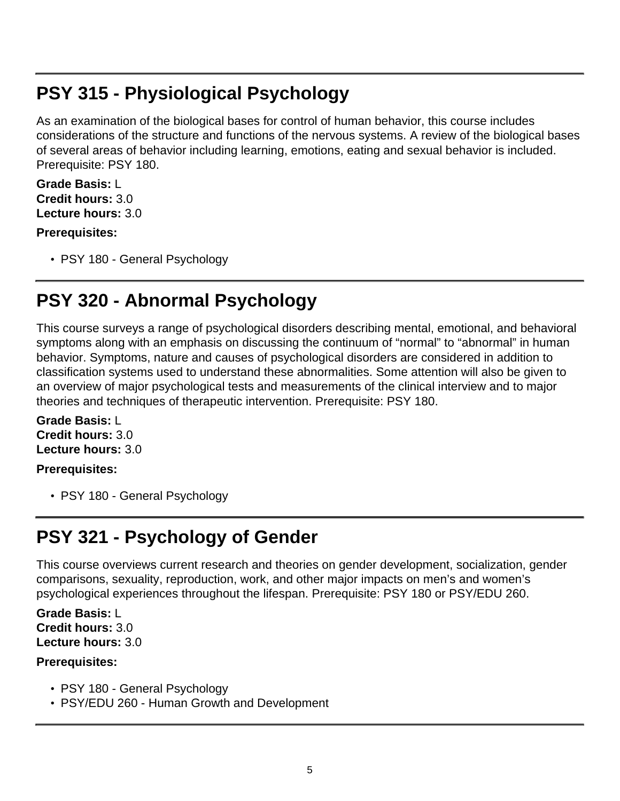### <span id="page-4-0"></span>**PSY 315 - Physiological Psychology**

As an examination of the biological bases for control of human behavior, this course includes considerations of the structure and functions of the nervous systems. A review of the biological bases of several areas of behavior including learning, emotions, eating and sexual behavior is included. Prerequisite: PSY 180.

**Grade Basis:** L **Credit hours:** 3.0 **Lecture hours:** 3.0

#### **Prerequisites:**

• PSY 180 - General Psychology

# <span id="page-4-1"></span>**PSY 320 - Abnormal Psychology**

This course surveys a range of psychological disorders describing mental, emotional, and behavioral symptoms along with an emphasis on discussing the continuum of "normal" to "abnormal" in human behavior. Symptoms, nature and causes of psychological disorders are considered in addition to classification systems used to understand these abnormalities. Some attention will also be given to an overview of major psychological tests and measurements of the clinical interview and to major theories and techniques of therapeutic intervention. Prerequisite: PSY 180.

**Grade Basis:** L **Credit hours:** 3.0 **Lecture hours:** 3.0

#### **Prerequisites:**

• PSY 180 - General Psychology

# <span id="page-4-2"></span>**PSY 321 - Psychology of Gender**

This course overviews current research and theories on gender development, socialization, gender comparisons, sexuality, reproduction, work, and other major impacts on men's and women's psychological experiences throughout the lifespan. Prerequisite: PSY 180 or PSY/EDU 260.

**Grade Basis:** L **Credit hours:** 3.0 **Lecture hours:** 3.0

#### **Prerequisites:**

- PSY 180 General Psychology
- PSY/EDU 260 Human Growth and Development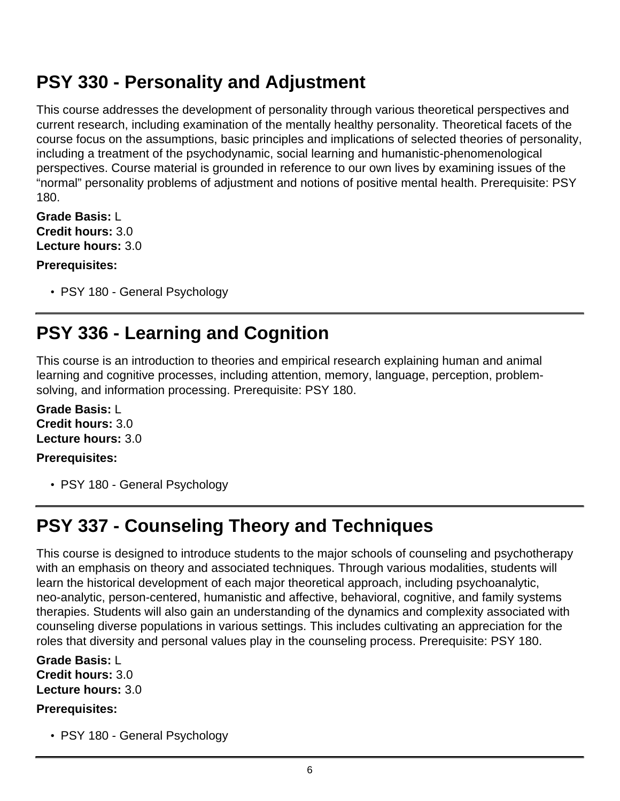### <span id="page-5-0"></span>**PSY 330 - Personality and Adjustment**

This course addresses the development of personality through various theoretical perspectives and current research, including examination of the mentally healthy personality. Theoretical facets of the course focus on the assumptions, basic principles and implications of selected theories of personality, including a treatment of the psychodynamic, social learning and humanistic-phenomenological perspectives. Course material is grounded in reference to our own lives by examining issues of the "normal" personality problems of adjustment and notions of positive mental health. Prerequisite: PSY 180.

**Grade Basis:** L **Credit hours:** 3.0 **Lecture hours:** 3.0

### **Prerequisites:**

• PSY 180 - General Psychology

# <span id="page-5-1"></span>**PSY 336 - Learning and Cognition**

This course is an introduction to theories and empirical research explaining human and animal learning and cognitive processes, including attention, memory, language, perception, problemsolving, and information processing. Prerequisite: PSY 180.

**Grade Basis:** L **Credit hours:** 3.0 **Lecture hours:** 3.0

### **Prerequisites:**

• PSY 180 - General Psychology

# <span id="page-5-2"></span>**PSY 337 - Counseling Theory and Techniques**

This course is designed to introduce students to the major schools of counseling and psychotherapy with an emphasis on theory and associated techniques. Through various modalities, students will learn the historical development of each major theoretical approach, including psychoanalytic, neo-analytic, person-centered, humanistic and affective, behavioral, cognitive, and family systems therapies. Students will also gain an understanding of the dynamics and complexity associated with counseling diverse populations in various settings. This includes cultivating an appreciation for the roles that diversity and personal values play in the counseling process. Prerequisite: PSY 180.

**Grade Basis:** L **Credit hours:** 3.0 **Lecture hours:** 3.0

### **Prerequisites:**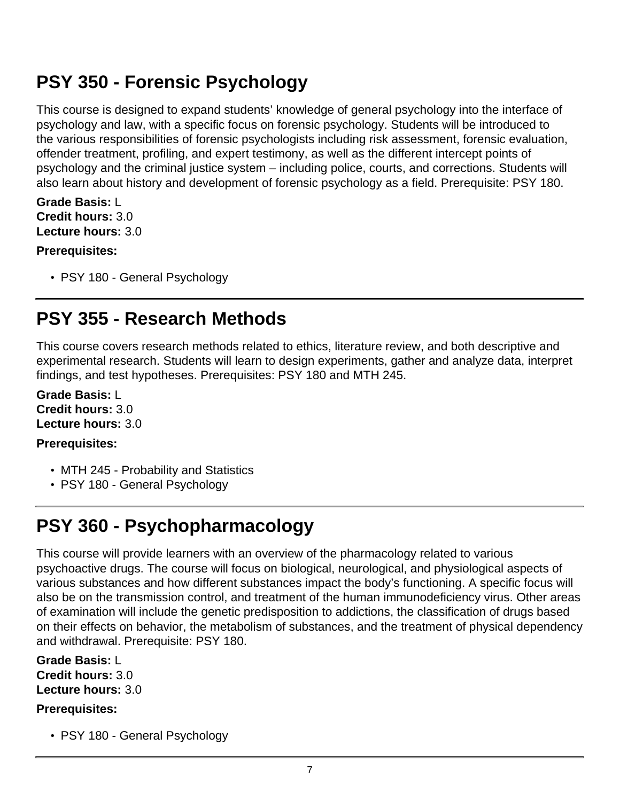### <span id="page-6-0"></span>**PSY 350 - Forensic Psychology**

This course is designed to expand students' knowledge of general psychology into the interface of psychology and law, with a specific focus on forensic psychology. Students will be introduced to the various responsibilities of forensic psychologists including risk assessment, forensic evaluation, offender treatment, profiling, and expert testimony, as well as the different intercept points of psychology and the criminal justice system – including police, courts, and corrections. Students will also learn about history and development of forensic psychology as a field. Prerequisite: PSY 180.

#### **Grade Basis:** L **Credit hours:** 3.0 **Lecture hours:** 3.0

#### **Prerequisites:**

• PSY 180 - General Psychology

# <span id="page-6-1"></span>**PSY 355 - Research Methods**

This course covers research methods related to ethics, literature review, and both descriptive and experimental research. Students will learn to design experiments, gather and analyze data, interpret findings, and test hypotheses. Prerequisites: PSY 180 and MTH 245.

**Grade Basis:** L **Credit hours:** 3.0 **Lecture hours:** 3.0

### **Prerequisites:**

- MTH 245 Probability and Statistics
- PSY 180 General Psychology

# <span id="page-6-2"></span>**PSY 360 - Psychopharmacology**

This course will provide learners with an overview of the pharmacology related to various psychoactive drugs. The course will focus on biological, neurological, and physiological aspects of various substances and how different substances impact the body's functioning. A specific focus will also be on the transmission control, and treatment of the human immunodeficiency virus. Other areas of examination will include the genetic predisposition to addictions, the classification of drugs based on their effects on behavior, the metabolism of substances, and the treatment of physical dependency and withdrawal. Prerequisite: PSY 180.

**Grade Basis:** L **Credit hours:** 3.0 **Lecture hours:** 3.0

#### **Prerequisites:**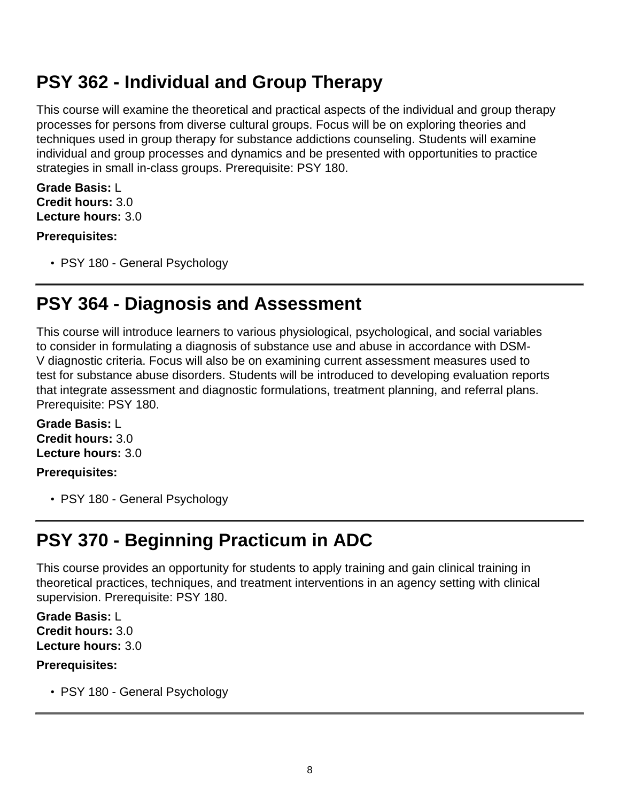### <span id="page-7-0"></span>**PSY 362 - Individual and Group Therapy**

This course will examine the theoretical and practical aspects of the individual and group therapy processes for persons from diverse cultural groups. Focus will be on exploring theories and techniques used in group therapy for substance addictions counseling. Students will examine individual and group processes and dynamics and be presented with opportunities to practice strategies in small in-class groups. Prerequisite: PSY 180.

**Grade Basis:** L **Credit hours:** 3.0 **Lecture hours:** 3.0

#### **Prerequisites:**

• PSY 180 - General Psychology

### <span id="page-7-1"></span>**PSY 364 - Diagnosis and Assessment**

This course will introduce learners to various physiological, psychological, and social variables to consider in formulating a diagnosis of substance use and abuse in accordance with DSM-V diagnostic criteria. Focus will also be on examining current assessment measures used to test for substance abuse disorders. Students will be introduced to developing evaluation reports that integrate assessment and diagnostic formulations, treatment planning, and referral plans. Prerequisite: PSY 180.

**Grade Basis:** L **Credit hours:** 3.0 **Lecture hours:** 3.0

#### **Prerequisites:**

• PSY 180 - General Psychology

# <span id="page-7-2"></span>**PSY 370 - Beginning Practicum in ADC**

This course provides an opportunity for students to apply training and gain clinical training in theoretical practices, techniques, and treatment interventions in an agency setting with clinical supervision. Prerequisite: PSY 180.

**Grade Basis:** L **Credit hours:** 3.0 **Lecture hours:** 3.0

#### **Prerequisites:**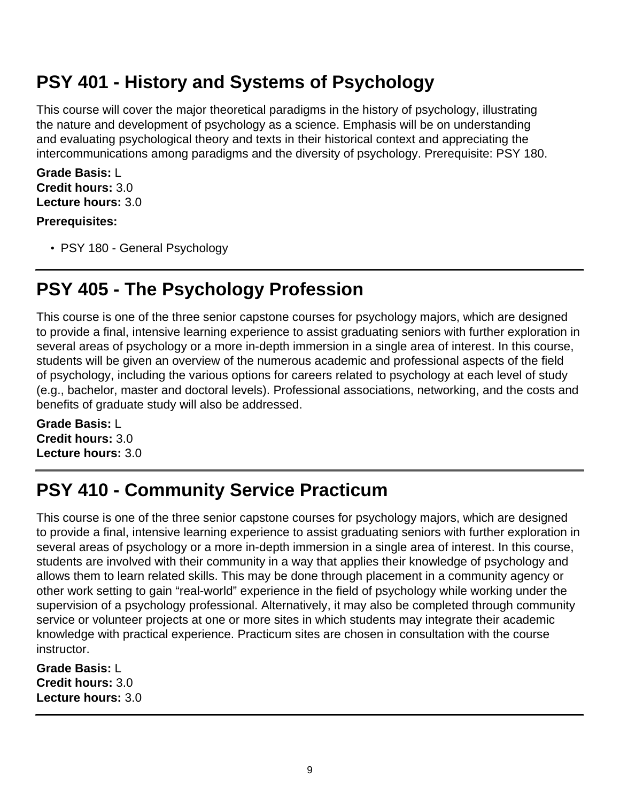### <span id="page-8-0"></span>**PSY 401 - History and Systems of Psychology**

This course will cover the major theoretical paradigms in the history of psychology, illustrating the nature and development of psychology as a science. Emphasis will be on understanding and evaluating psychological theory and texts in their historical context and appreciating the intercommunications among paradigms and the diversity of psychology. Prerequisite: PSY 180.

**Grade Basis:** L **Credit hours:** 3.0 **Lecture hours:** 3.0

#### **Prerequisites:**

• PSY 180 - General Psychology

# <span id="page-8-1"></span>**PSY 405 - The Psychology Profession**

This course is one of the three senior capstone courses for psychology majors, which are designed to provide a final, intensive learning experience to assist graduating seniors with further exploration in several areas of psychology or a more in-depth immersion in a single area of interest. In this course, students will be given an overview of the numerous academic and professional aspects of the field of psychology, including the various options for careers related to psychology at each level of study (e.g., bachelor, master and doctoral levels). Professional associations, networking, and the costs and benefits of graduate study will also be addressed.

**Grade Basis:** L **Credit hours:** 3.0 **Lecture hours:** 3.0

# <span id="page-8-2"></span>**PSY 410 - Community Service Practicum**

This course is one of the three senior capstone courses for psychology majors, which are designed to provide a final, intensive learning experience to assist graduating seniors with further exploration in several areas of psychology or a more in-depth immersion in a single area of interest. In this course, students are involved with their community in a way that applies their knowledge of psychology and allows them to learn related skills. This may be done through placement in a community agency or other work setting to gain "real-world" experience in the field of psychology while working under the supervision of a psychology professional. Alternatively, it may also be completed through community service or volunteer projects at one or more sites in which students may integrate their academic knowledge with practical experience. Practicum sites are chosen in consultation with the course instructor.

**Grade Basis:** L **Credit hours:** 3.0 **Lecture hours:** 3.0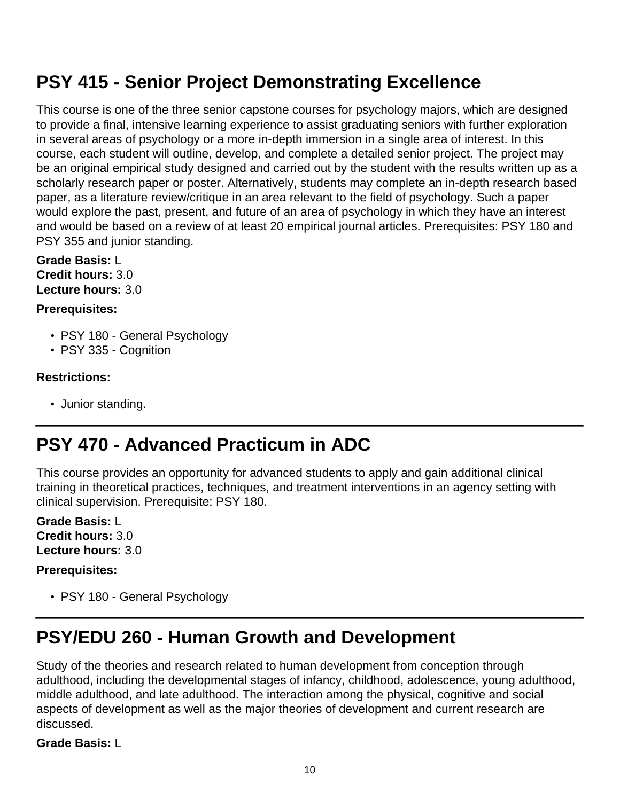### <span id="page-9-0"></span>**PSY 415 - Senior Project Demonstrating Excellence**

This course is one of the three senior capstone courses for psychology majors, which are designed to provide a final, intensive learning experience to assist graduating seniors with further exploration in several areas of psychology or a more in-depth immersion in a single area of interest. In this course, each student will outline, develop, and complete a detailed senior project. The project may be an original empirical study designed and carried out by the student with the results written up as a scholarly research paper or poster. Alternatively, students may complete an in-depth research based paper, as a literature review/critique in an area relevant to the field of psychology. Such a paper would explore the past, present, and future of an area of psychology in which they have an interest and would be based on a review of at least 20 empirical journal articles. Prerequisites: PSY 180 and PSY 355 and junior standing.

**Grade Basis:** L **Credit hours:** 3.0 **Lecture hours:** 3.0

#### **Prerequisites:**

- PSY 180 General Psychology
- PSY 335 Cognition

#### **Restrictions:**

• Junior standing.

### <span id="page-9-1"></span>**PSY 470 - Advanced Practicum in ADC**

This course provides an opportunity for advanced students to apply and gain additional clinical training in theoretical practices, techniques, and treatment interventions in an agency setting with clinical supervision. Prerequisite: PSY 180.

**Grade Basis:** L **Credit hours:** 3.0 **Lecture hours:** 3.0

#### **Prerequisites:**

• PSY 180 - General Psychology

### <span id="page-9-2"></span>**PSY/EDU 260 - Human Growth and Development**

Study of the theories and research related to human development from conception through adulthood, including the developmental stages of infancy, childhood, adolescence, young adulthood, middle adulthood, and late adulthood. The interaction among the physical, cognitive and social aspects of development as well as the major theories of development and current research are discussed.

**Grade Basis:** L